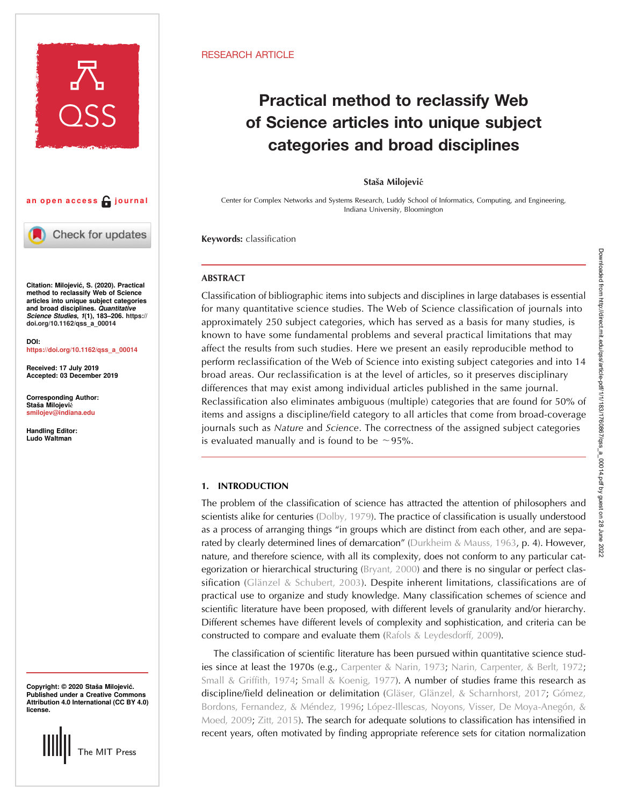

## an open access  $\bigcap$  journal

Check for updates

Citation: Milojević, S. (2020). Practical method to reclassify Web of Science articles into unique subject categories and broad disciplines. Quantitative Science Studies, 1(1), 183–206. [https://](https://doi.org/10.1162/qss_a_00014) [doi.org/10.1162/qss\\_a\\_00014](https://doi.org/10.1162/qss_a_00014)

[https://doi.org/10.1162/qss\\_a\\_00014](https://doi.org/10.1162/qss_a_00014)

Received: 17 July 2019 Accepted: 03 December 2019

Corresponding Author: Staša Milojević [smilojev@indiana.edu](mailto:smilojev@indiana.edu)

Handling Editor: Ludo Waltman

# DOI:

Copyright: © 2020 Staša Milojević. Published under a Creative Commons Attribution 4.0 International (CC BY 4.0) license.



## RESEARCH ARTICLE

## Practical method to reclassify Web of Science articles into unique subject categories and broad disciplines

#### Staša Milojević

Center for Complex Networks and Systems Research, Luddy School of Informatics, Computing, and Engineering, Indiana University, Bloomington

Keywords: classification

## **ABSTRACT**

Classification of bibliographic items into subjects and disciplines in large databases is essential for many quantitative science studies. The Web of Science classification of journals into approximately 250 subject categories, which has served as a basis for many studies, is known to have some fundamental problems and several practical limitations that may affect the results from such studies. Here we present an easily reproducible method to perform reclassification of the Web of Science into existing subject categories and into 14 broad areas. Our reclassification is at the level of articles, so it preserves disciplinary differences that may exist among individual articles published in the same journal. Reclassification also eliminates ambiguous (multiple) categories that are found for 50% of items and assigns a discipline/field category to all articles that come from broad-coverage journals such as Nature and Science. The correctness of the assigned subject categories is evaluated manually and is found to be ∼95%.

## 1. INTRODUCTION

The problem of the classification of science has attracted the attention of philosophers and scientists alike for centuries ([Dolby, 1979\)](#page-13-0). The practice of classification is usually understood as a process of arranging things "in groups which are distinct from each other, and are sepa-rated by clearly determined lines of demarcation" [\(Durkheim & Mauss, 1963,](#page-13-0) p. 4). However, nature, and therefore science, with all its complexity, does not conform to any particular categorization or hierarchical structuring [\(Bryant, 2000\)](#page-12-0) and there is no singular or perfect clas-sification ([Glänzel & Schubert, 2003](#page-13-0)). Despite inherent limitations, classifications are of practical use to organize and study knowledge. Many classification schemes of science and scientific literature have been proposed, with different levels of granularity and/or hierarchy. Different schemes have different levels of complexity and sophistication, and criteria can be constructed to compare and evaluate them [\(Rafols & Leydesdorff, 2009\)](#page-13-0).

The classification of scientific literature has been pursued within quantitative science stud-ies since at least the 1970s (e.g., [Carpenter & Narin, 1973;](#page-12-0) [Narin, Carpenter, & Berlt, 1972](#page-13-0); [Small & Griffith, 1974](#page-13-0), [Small & Koenig, 1977\)](#page-13-0). A number of studies frame this research as discipline/field delineation or delimitation [\(Gläser, Glänzel, & Scharnhorst, 2017](#page-13-0); [Gómez,](#page-13-0) [Bordons, Fernandez, & Méndez, 1996](#page-13-0); [López-Illescas, Noyons, Visser, De Moya-Anegón, &](#page-13-0) [Moed, 2009;](#page-13-0) [Zitt, 2015](#page-14-0)). The search for adequate solutions to classification has intensified in recent years, often motivated by finding appropriate reference sets for citation normalization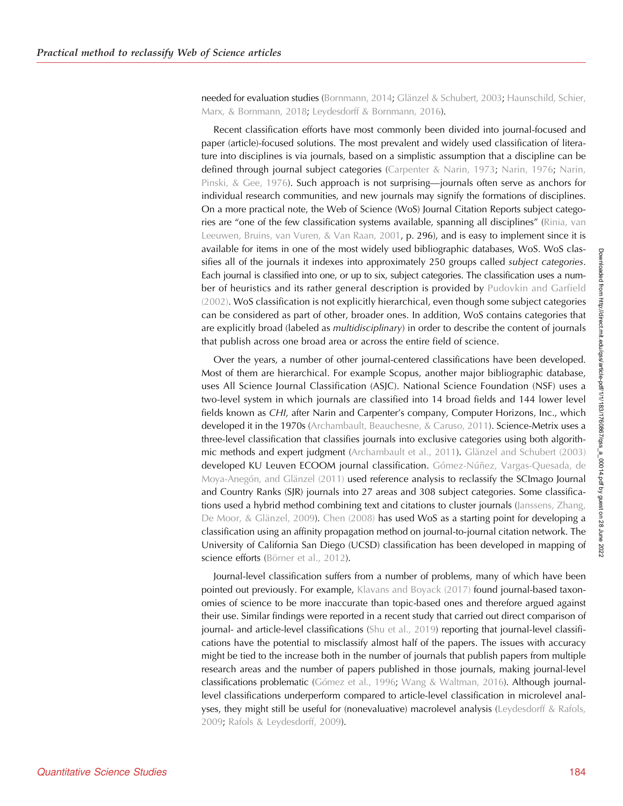needed for evaluation studies ([Bornmann, 2014;](#page-12-0) [Glänzel & Schubert, 2003;](#page-13-0) [Haunschild, Schier,](#page-13-0) [Marx, & Bornmann, 2018;](#page-13-0) [Leydesdorff & Bornmann, 2016](#page-13-0)).

Recent classification efforts have most commonly been divided into journal-focused and paper (article)-focused solutions. The most prevalent and widely used classification of literature into disciplines is via journals, based on a simplistic assumption that a discipline can be defined through journal subject categories ([Carpenter & Narin, 1973;](#page-12-0) [Narin, 1976;](#page-13-0) [Narin,](#page-13-0) [Pinski, & Gee, 1976\)](#page-13-0). Such approach is not surprising—journals often serve as anchors for individual research communities, and new journals may signify the formations of disciplines. On a more practical note, the Web of Science (WoS) Journal Citation Reports subject categories are "one of the few classification systems available, spanning all disciplines" ([Rinia, van](#page-13-0) [Leeuwen, Bruins, van Vuren, & Van Raan, 2001,](#page-13-0) p. 296), and is easy to implement since it is available for items in one of the most widely used bibliographic databases, WoS. WoS classifies all of the journals it indexes into approximately 250 groups called *subject categories*. Each journal is classified into one, or up to six, subject categories. The classification uses a num-ber of heuristics and its rather general description is provided by [Pudovkin and Garfield](#page-13-0) [\(2002\).](#page-13-0) WoS classification is not explicitly hierarchical, even though some subject categories can be considered as part of other, broader ones. In addition, WoS contains categories that are explicitly broad (labeled as *multidisciplinary*) in order to describe the content of journals that publish across one broad area or across the entire field of science.

Over the years, a number of other journal-centered classifications have been developed. Most of them are hierarchical. For example Scopus, another major bibliographic database, uses All Science Journal Classification (ASJC). National Science Foundation (NSF) uses a two-level system in which journals are classified into 14 broad fields and 144 lower level fields known as CHI, after Narin and Carpenter's company, Computer Horizons, Inc., which developed it in the 1970s ([Archambault, Beauchesne, & Caruso, 2011\)](#page-12-0). Science-Metrix uses a three-level classification that classifies journals into exclusive categories using both algorithmic methods and expert judgment [\(Archambault et al., 2011\)](#page-12-0). [Glänzel and Schubert \(2003\)](#page-13-0) developed KU Leuven ECOOM journal classification. [Gómez-Núñez, Vargas-Quesada, de](#page-13-0) [Moya-Anegón, and Glänzel \(2011\)](#page-13-0) used reference analysis to reclassify the SCImago Journal and Country Ranks (SJR) journals into 27 areas and 308 subject categories. Some classifications used a hybrid method combining text and citations to cluster journals ([Janssens, Zhang,](#page-13-0) [De Moor, & Glänzel, 2009](#page-13-0)). [Chen \(2008\)](#page-12-0) has used WoS as a starting point for developing a classification using an affinity propagation method on journal-to-journal citation network. The University of California San Diego (UCSD) classification has been developed in mapping of science efforts [\(Börner et al., 2012\)](#page-12-0).

Journal-level classification suffers from a number of problems, many of which have been pointed out previously. For example, [Klavans and Boyack \(2017\)](#page-13-0) found journal-based taxonomies of science to be more inaccurate than topic-based ones and therefore argued against their use. Similar findings were reported in a recent study that carried out direct comparison of journal- and article-level classifications [\(Shu et al., 2019](#page-13-0)) reporting that journal-level classifications have the potential to misclassify almost half of the papers. The issues with accuracy might be tied to the increase both in the number of journals that publish papers from multiple research areas and the number of papers published in those journals, making journal-level classifications problematic [\(Gómez et al., 1996;](#page-13-0) [Wang & Waltman, 2016](#page-14-0)). Although journallevel classifications underperform compared to article-level classification in microlevel analyses, they might still be useful for (nonevaluative) macrolevel analysis [\(Leydesdorff & Rafols,](#page-13-0) [2009;](#page-13-0) [Rafols & Leydesdorff, 2009](#page-13-0)).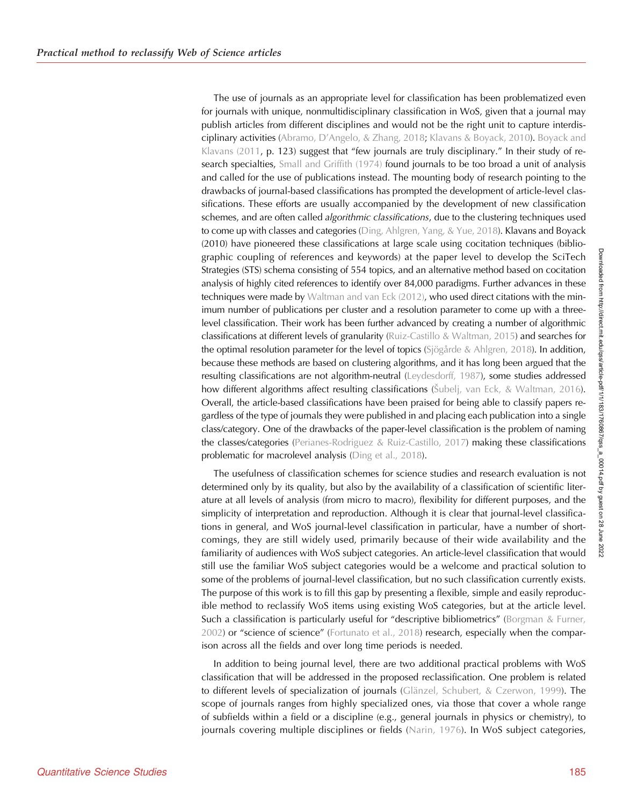The use of journals as an appropriate level for classification has been problematized even for journals with unique, nonmultidisciplinary classification in WoS, given that a journal may publish articles from different disciplines and would not be the right unit to capture interdisciplinary activities (Abramo, D'[Angelo, & Zhang, 2018;](#page-12-0) [Klavans & Boyack, 2010](#page-13-0)). [Boyack and](#page-12-0) [Klavans \(2011](#page-12-0), p. 123) suggest that "few journals are truly disciplinary." In their study of research specialties, [Small and Griffith \(1974\)](#page-13-0) found journals to be too broad a unit of analysis and called for the use of publications instead. The mounting body of research pointing to the drawbacks of journal-based classifications has prompted the development of article-level classifications. These efforts are usually accompanied by the development of new classification schemes, and are often called *algorithmic classifications*, due to the clustering techniques used to come up with classes and categories [\(Ding, Ahlgren, Yang, & Yue, 2018](#page-13-0)). Klavans and Boyack (2010) have pioneered these classifications at large scale using cocitation techniques (bibliographic coupling of references and keywords) at the paper level to develop the SciTech Strategies (STS) schema consisting of 554 topics, and an alternative method based on cocitation analysis of highly cited references to identify over 84,000 paradigms. Further advances in these techniques were made by [Waltman and van Eck \(2012\)](#page-14-0), who used direct citations with the minimum number of publications per cluster and a resolution parameter to come up with a threelevel classification. Their work has been further advanced by creating a number of algorithmic classifications at different levels of granularity [\(Ruiz-Castillo & Waltman, 2015](#page-13-0)) and searches for the optimal resolution parameter for the level of topics [\(Sjögårde & Ahlgren, 2018\)](#page-13-0). In addition, because these methods are based on clustering algorithms, and it has long been argued that the resulting classifications are not algorithm-neutral [\(Leydesdorff, 1987](#page-13-0)), some studies addressed how different algorithms affect resulting classifications (Š[ubelj, van Eck, & Waltman, 2016\)](#page-13-0). Overall, the article-based classifications have been praised for being able to classify papers regardless of the type of journals they were published in and placing each publication into a single class/category. One of the drawbacks of the paper-level classification is the problem of naming the classes/categories ([Perianes-Rodriguez & Ruiz-Castillo, 2017](#page-13-0)) making these classifications problematic for macrolevel analysis [\(Ding et al., 2018\)](#page-13-0).

The usefulness of classification schemes for science studies and research evaluation is not determined only by its quality, but also by the availability of a classification of scientific literature at all levels of analysis (from micro to macro), flexibility for different purposes, and the simplicity of interpretation and reproduction. Although it is clear that journal-level classifications in general, and WoS journal-level classification in particular, have a number of shortcomings, they are still widely used, primarily because of their wide availability and the familiarity of audiences with WoS subject categories. An article-level classification that would still use the familiar WoS subject categories would be a welcome and practical solution to some of the problems of journal-level classification, but no such classification currently exists. The purpose of this work is to fill this gap by presenting a flexible, simple and easily reproducible method to reclassify WoS items using existing WoS categories, but at the article level. Such a classification is particularly useful for "descriptive bibliometrics" ([Borgman & Furner,](#page-12-0) [2002\)](#page-12-0) or "science of science" [\(Fortunato et al., 2018\)](#page-13-0) research, especially when the comparison across all the fields and over long time periods is needed.

In addition to being journal level, there are two additional practical problems with WoS classification that will be addressed in the proposed reclassification. One problem is related to different levels of specialization of journals [\(Glänzel, Schubert, & Czerwon, 1999\)](#page-13-0). The scope of journals ranges from highly specialized ones, via those that cover a whole range of subfields within a field or a discipline (e.g., general journals in physics or chemistry), to journals covering multiple disciplines or fields ([Narin, 1976](#page-13-0)). In WoS subject categories,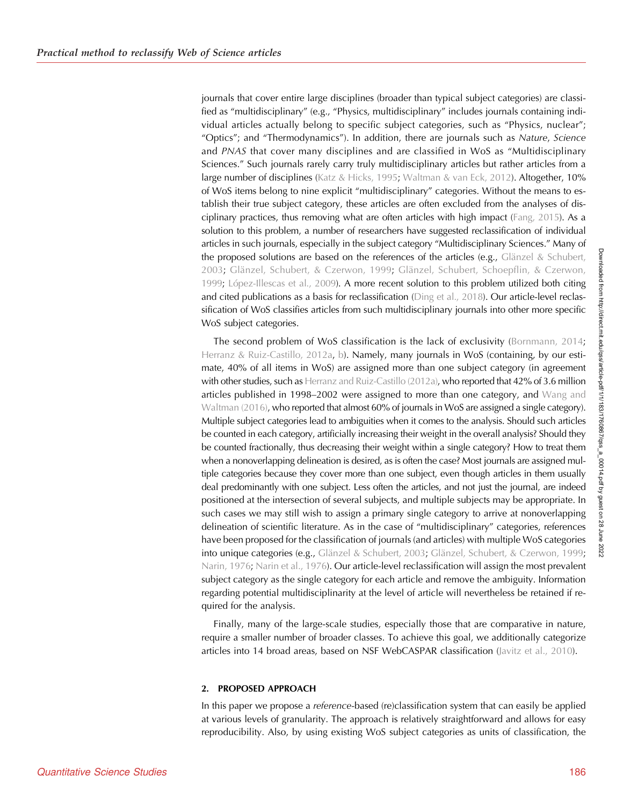journals that cover entire large disciplines (broader than typical subject categories) are classified as "multidisciplinary" (e.g., "Physics, multidisciplinary" includes journals containing individual articles actually belong to specific subject categories, such as "Physics, nuclear"; "Optics"; and "Thermodynamics"). In addition, there are journals such as Nature, Science and PNAS that cover many disciplines and are classified in WoS as "Multidisciplinary Sciences." Such journals rarely carry truly multidisciplinary articles but rather articles from a large number of disciplines [\(Katz & Hicks, 1995](#page-13-0); [Waltman & van Eck, 2012\)](#page-14-0). Altogether, 10% of WoS items belong to nine explicit "multidisciplinary" categories. Without the means to establish their true subject category, these articles are often excluded from the analyses of disciplinary practices, thus removing what are often articles with high impact [\(Fang, 2015\)](#page-13-0). As a solution to this problem, a number of researchers have suggested reclassification of individual articles in such journals, especially in the subject category "Multidisciplinary Sciences." Many of the proposed solutions are based on the references of the articles (e.g., [Glänzel & Schubert,](#page-13-0) [2003;](#page-13-0) [Glänzel, Schubert, & Czerwon, 1999](#page-13-0); [Glänzel, Schubert, Schoepflin, & Czerwon,](#page-13-0) [1999;](#page-13-0) [López-Illescas et al., 2009](#page-13-0)). A more recent solution to this problem utilized both citing and cited publications as a basis for reclassification [\(Ding et al., 2018\)](#page-13-0). Our article-level reclassification of WoS classifies articles from such multidisciplinary journals into other more specific WoS subject categories.

The second problem of WoS classification is the lack of exclusivity ([Bornmann, 2014](#page-12-0); [Herranz & Ruiz-Castillo, 2012a,](#page-13-0) [b\)](#page-13-0). Namely, many journals in WoS (containing, by our estimate, 40% of all items in WoS) are assigned more than one subject category (in agreement with other studies, such as [Herranz and Ruiz-Castillo \(2012a\)](#page-13-0), who reported that 42% of 3.6 million articles published in 1998–2002 were assigned to more than one category, and [Wang and](#page-14-0) [Waltman \(2016\)](#page-14-0), who reported that almost 60% of journals in WoS are assigned a single category). Multiple subject categories lead to ambiguities when it comes to the analysis. Should such articles be counted in each category, artificially increasing their weight in the overall analysis? Should they be counted fractionally, thus decreasing their weight within a single category? How to treat them when a nonoverlapping delineation is desired, as is often the case? Most journals are assigned multiple categories because they cover more than one subject, even though articles in them usually deal predominantly with one subject. Less often the articles, and not just the journal, are indeed positioned at the intersection of several subjects, and multiple subjects may be appropriate. In such cases we may still wish to assign a primary single category to arrive at nonoverlapping delineation of scientific literature. As in the case of "multidisciplinary" categories, references have been proposed for the classification of journals (and articles) with multiple WoS categories into unique categories (e.g., [Glänzel & Schubert, 2003](#page-13-0); [Glänzel, Schubert, & Czerwon, 1999](#page-13-0); [Narin, 1976;](#page-13-0) [Narin et al., 1976](#page-13-0)). Our article-level reclassification will assign the most prevalent subject category as the single category for each article and remove the ambiguity. Information regarding potential multidisciplinarity at the level of article will nevertheless be retained if required for the analysis.

Finally, many of the large-scale studies, especially those that are comparative in nature, require a smaller number of broader classes. To achieve this goal, we additionally categorize articles into 14 broad areas, based on NSF WebCASPAR classification ([Javitz et al., 2010\)](#page-13-0).

#### 2. PROPOSED APPROACH

In this paper we propose a reference-based (re)classification system that can easily be applied at various levels of granularity. The approach is relatively straightforward and allows for easy reproducibility. Also, by using existing WoS subject categories as units of classification, the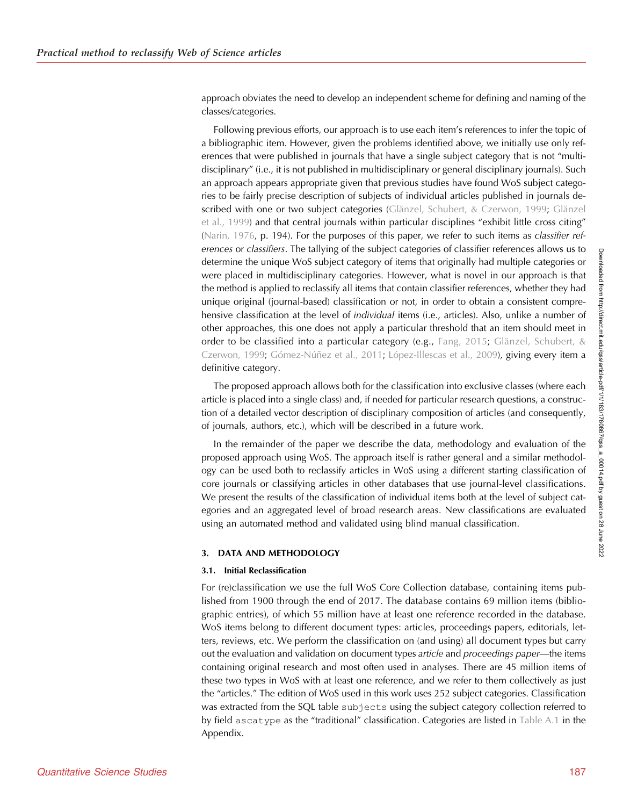approach obviates the need to develop an independent scheme for defining and naming of the classes/categories.

Following previous efforts, our approach is to use each item's references to infer the topic of a bibliographic item. However, given the problems identified above, we initially use only references that were published in journals that have a single subject category that is not "multidisciplinary" (i.e., it is not published in multidisciplinary or general disciplinary journals). Such an approach appears appropriate given that previous studies have found WoS subject categories to be fairly precise description of subjects of individual articles published in journals described with one or two subject categories [\(Glänzel, Schubert, & Czerwon, 1999;](#page-13-0) [Glänzel](#page-13-0) [et al., 1999](#page-13-0)) and that central journals within particular disciplines "exhibit little cross citing" ([Narin, 1976](#page-13-0), p. 194). For the purposes of this paper, we refer to such items as classifier references or classifiers. The tallying of the subject categories of classifier references allows us to determine the unique WoS subject category of items that originally had multiple categories or were placed in multidisciplinary categories. However, what is novel in our approach is that the method is applied to reclassify all items that contain classifier references, whether they had unique original (journal-based) classification or not, in order to obtain a consistent comprehensive classification at the level of *individual* items (i.e., articles). Also, unlike a number of other approaches, this one does not apply a particular threshold that an item should meet in order to be classified into a particular category (e.g., [Fang, 2015](#page-13-0); [Glänzel, Schubert, &](#page-13-0) [Czerwon, 1999](#page-13-0); [Gómez-Núñez et al., 2011](#page-13-0); [López-Illescas et al., 2009](#page-13-0)), giving every item a definitive category.

The proposed approach allows both for the classification into exclusive classes (where each article is placed into a single class) and, if needed for particular research questions, a construction of a detailed vector description of disciplinary composition of articles (and consequently, of journals, authors, etc.), which will be described in a future work.

In the remainder of the paper we describe the data, methodology and evaluation of the proposed approach using WoS. The approach itself is rather general and a similar methodology can be used both to reclassify articles in WoS using a different starting classification of core journals or classifying articles in other databases that use journal-level classifications. We present the results of the classification of individual items both at the level of subject categories and an aggregated level of broad research areas. New classifications are evaluated using an automated method and validated using blind manual classification.

## 3. DATA AND METHODOLOGY

#### 3.1. Initial Reclassification

For (re)classification we use the full WoS Core Collection database, containing items published from 1900 through the end of 2017. The database contains 69 million items (bibliographic entries), of which 55 million have at least one reference recorded in the database. WoS items belong to different document types: articles, proceedings papers, editorials, letters, reviews, etc. We perform the classification on (and using) all document types but carry out the evaluation and validation on document types article and proceedings paper—the items containing original research and most often used in analyses. There are 45 million items of these two types in WoS with at least one reference, and we refer to them collectively as just the "articles." The edition of WoS used in this work uses 252 subject categories. Classification was extracted from the SQL table subjects using the subject category collection referred to by field ascatype as the "traditional" classification. Categories are listed in [Table A.1](#page-15-0) in the Appendix.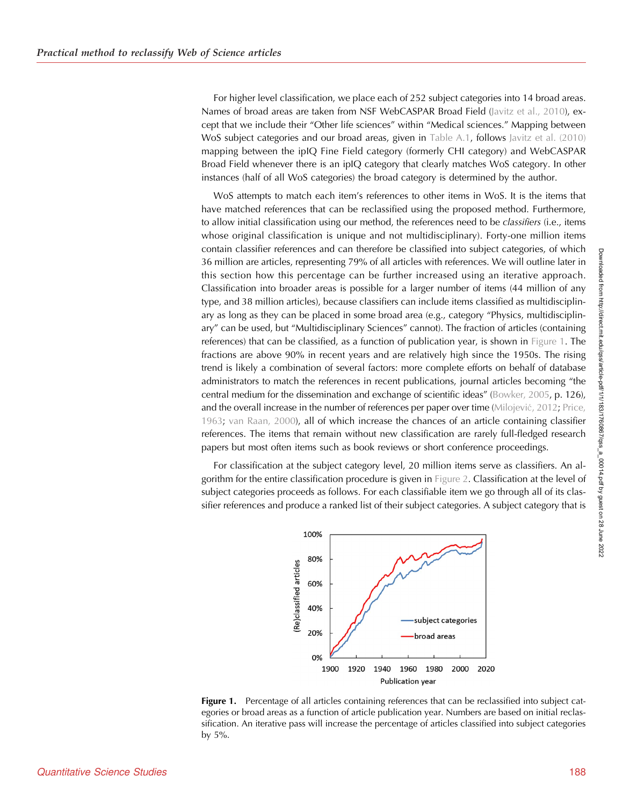For higher level classification, we place each of 252 subject categories into 14 broad areas. Names of broad areas are taken from NSF WebCASPAR Broad Field [\(Javitz et al., 2010](#page-13-0)), except that we include their "Other life sciences" within "Medical sciences." Mapping between WoS subject categories and our broad areas, given in [Table A.1](#page-15-0), follows [Javitz et al. \(2010\)](#page-13-0) mapping between the ipIQ Fine Field category (formerly CHI category) and WebCASPAR Broad Field whenever there is an ipIQ category that clearly matches WoS category. In other instances (half of all WoS categories) the broad category is determined by the author.

WoS attempts to match each item's references to other items in WoS. It is the items that have matched references that can be reclassified using the proposed method. Furthermore, to allow initial classification using our method, the references need to be *classifiers* (i.e., items whose original classification is unique and not multidisciplinary). Forty-one million items contain classifier references and can therefore be classified into subject categories, of which 36 million are articles, representing 79% of all articles with references. We will outline later in this section how this percentage can be further increased using an iterative approach. Classification into broader areas is possible for a larger number of items (44 million of any type, and 38 million articles), because classifiers can include items classified as multidisciplinary as long as they can be placed in some broad area (e.g., category "Physics, multidisciplinary" can be used, but "Multidisciplinary Sciences" cannot). The fraction of articles (containing references) that can be classified, as a function of publication year, is shown in Figure 1. The fractions are above 90% in recent years and are relatively high since the 1950s. The rising trend is likely a combination of several factors: more complete efforts on behalf of database administrators to match the references in recent publications, journal articles becoming "the central medium for the dissemination and exchange of scientific ideas" [\(Bowker, 2005](#page-12-0), p. 126), and the overall increase in the number of references per paper over time ([Milojevi](#page-13-0)ć, 2012; [Price,](#page-13-0) [1963;](#page-13-0) [van Raan, 2000](#page-13-0)), all of which increase the chances of an article containing classifier references. The items that remain without new classification are rarely full-fledged research papers but most often items such as book reviews or short conference proceedings.

For classification at the subject category level, 20 million items serve as classifiers. An algorithm for the entire classification procedure is given in [Figure 2](#page-6-0). Classification at the level of subject categories proceeds as follows. For each classifiable item we go through all of its classifier references and produce a ranked list of their subject categories. A subject category that is



Figure 1. Percentage of all articles containing references that can be reclassified into subject categories or broad areas as a function of article publication year. Numbers are based on initial reclassification. An iterative pass will increase the percentage of articles classified into subject categories by 5%.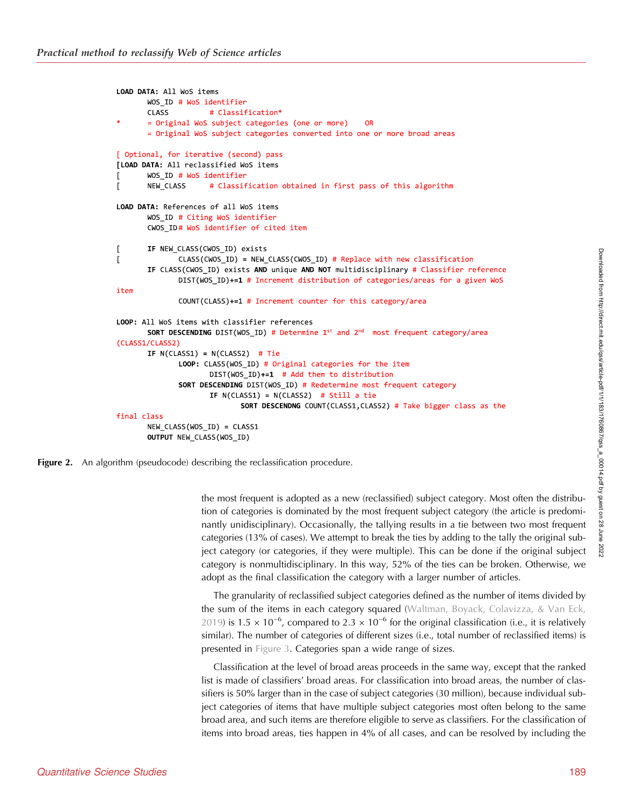```
LOAD DATA: All WoS items
       WOS ID # WoS identifier
       CLASS
                     # Classification*
       = Original WoS subject categories (one or more)
                                                           OR
       = Original WoS subject categories converted into one or more broad areas
[ Optional, for iterative (second) pass
[LOAD DATA: All reclassified WoS items
       WOS ID # WoS identifier
\Gamma\mathbf{r}NEW CLASS
                    # Classification obtained in first pass of this algorithm
LOAD DATA: References of all WoS items
       WOS ID # Citing WoS identifier
       CWOS_ID# WoS identifier of cited item
       IF NEW_CLASS(CWOS_ID) exists
\GammaCLASS(CWOS_ID) = NEW_CLASS(CWOS_ID) # Replace with new classification
\GammaIF CLASS(CWOS_ID) exists AND unique AND NOT multidisciplinary # Classifier reference
              DIST(WOS_ID)+=1 # Increment distribution of categories/areas for a given WoS
item
              COUNT(CLASS)+=1 # Increment counter for this category/area
LOOP: All WoS items with classifier references
       SORT DESCENDING DIST(WOS ID) # Determine 1^{st} and 2^{nd} most frequent category/area
(CLASS1/CLASS2)
       IF N(ClASS1) = N(ClASS2) # TieLOOP: CLASS(WOS_ID) # Original categories for the item
                     DIST(WOS ID) +=1 # Add them to distribution
              SORT DESCENDING DIST(WOS ID) # Redetermine most frequent category
                     IF N(CLASS1) = N(CLASS2) # Still a tie
                             SORT DESCENDNG COUNT(CLASS1, CLASS2) # Take bigger class as the
final class
       NEW_CLASS(WOS_ID) = CLASS1
       OUTPUT NEW_CLASS(WOS_ID)
```
**Figure 2.** An algorithm (pseudocode) describing the reclassification procedure.

the most frequent is adopted as a new (reclassified) subject category. Most often the distribution of categories is dominated by the most frequent subject category (the article is predominantly unidisciplinary). Occasionally, the tallying results in a tie between two most frequent categories (13% of cases). We attempt to break the ties by adding to the tally the original subject category (or categories, if they were multiple). This can be done if the original subject category is nonmultidisciplinary. In this way, 52% of the ties can be broken. Otherwise, we adopt as the final classification the category with a larger number of articles.

The granularity of reclassified subject categories defined as the number of items divided by the sum of the items in each category squared [\(Waltman, Boyack, Colavizza, & Van Eck,](#page-14-0) [2019\)](#page-14-0) is 1.5 × 10<sup>-6</sup>, compared to 2.3 × 10<sup>-6</sup> for the original classification (i.e., it is relatively similar). The number of categories of different sizes (i.e., total number of reclassified items) is presented in [Figure 3.](#page-7-0) Categories span a wide range of sizes.

Classification at the level of broad areas proceeds in the same way, except that the ranked list is made of classifiers' broad areas. For classification into broad areas, the number of classifiers is 50% larger than in the case of subject categories (30 million), because individual subject categories of items that have multiple subject categories most often belong to the same broad area, and such items are therefore eligible to serve as classifiers. For the classification of items into broad areas, ties happen in 4% of all cases, and can be resolved by including the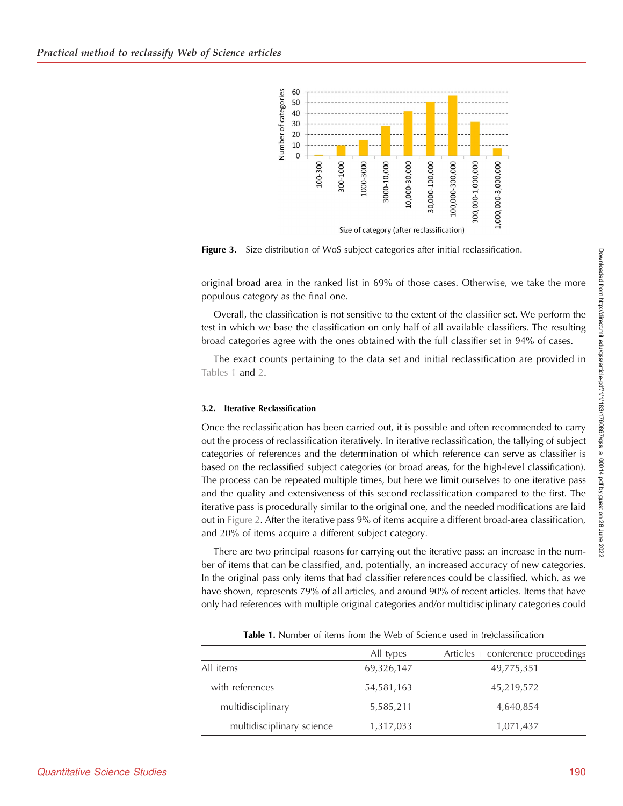<span id="page-7-0"></span>

Figure 3. Size distribution of WoS subject categories after initial reclassification.

original broad area in the ranked list in 69% of those cases. Otherwise, we take the more populous category as the final one.

Overall, the classification is not sensitive to the extent of the classifier set. We perform the test in which we base the classification on only half of all available classifiers. The resulting broad categories agree with the ones obtained with the full classifier set in 94% of cases.

The exact counts pertaining to the data set and initial reclassification are provided in Tables 1 and [2](#page-8-0).

### 3.2. Iterative Reclassification

Once the reclassification has been carried out, it is possible and often recommended to carry out the process of reclassification iteratively. In iterative reclassification, the tallying of subject categories of references and the determination of which reference can serve as classifier is based on the reclassified subject categories (or broad areas, for the high-level classification). The process can be repeated multiple times, but here we limit ourselves to one iterative pass and the quality and extensiveness of this second reclassification compared to the first. The iterative pass is procedurally similar to the original one, and the needed modifications are laid out in [Figure 2.](#page-6-0) After the iterative pass 9% of items acquire a different broad-area classification, and 20% of items acquire a different subject category.

There are two principal reasons for carrying out the iterative pass: an increase in the number of items that can be classified, and, potentially, an increased accuracy of new categories. In the original pass only items that had classifier references could be classified, which, as we have shown, represents 79% of all articles, and around 90% of recent articles. Items that have only had references with multiple original categories and/or multidisciplinary categories could

|                           | All types  | Articles + conference proceedings |
|---------------------------|------------|-----------------------------------|
| All items                 | 69,326,147 | 49,775,351                        |
| with references           | 54,581,163 | 45,219,572                        |
| multidisciplinary         | 5,585,211  | 4,640,854                         |
| multidisciplinary science | 1,317,033  | 1,071,437                         |

Table 1. Number of items from the Web of Science used in (re)classification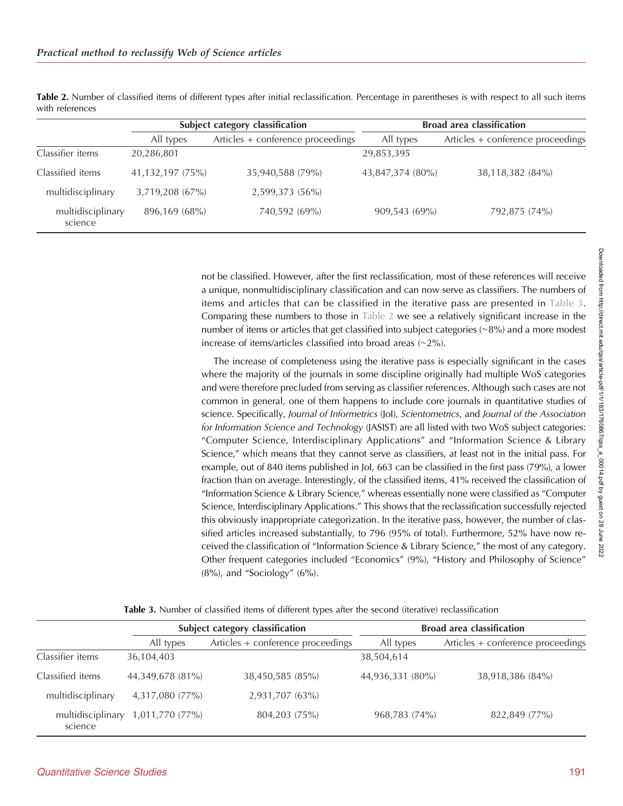|                              |                  | Subject category classification   |                  | <b>Broad area classification</b>  |  |
|------------------------------|------------------|-----------------------------------|------------------|-----------------------------------|--|
|                              | All types        | Articles + conference proceedings | All types        | Articles + conference proceedings |  |
| Classifier items             | 20,286,801       |                                   | 29,853,395       |                                   |  |
| Classified items             | 41,132,197 (75%) | 35,940,588 (79%)                  | 43,847,374 (80%) | 38,118,382 (84%)                  |  |
| multidisciplinary            | 3,719,208 (67%)  | 2,599,373 (56%)                   |                  |                                   |  |
| multidisciplinary<br>science | 896,169 (68%)    | 740,592 (69%)                     | 909,543(69%)     | 792,875 (74%)                     |  |

<span id="page-8-0"></span>Table 2. Number of classified items of different types after initial reclassification. Percentage in parentheses is with respect to all such items with references

> not be classified. However, after the first reclassification, most of these references will receive a unique, nonmultidisciplinary classification and can now serve as classifiers. The numbers of items and articles that can be classified in the iterative pass are presented in Table 3. Comparing these numbers to those in Table 2 we see a relatively significant increase in the number of items or articles that get classified into subject categories (∼8%) and a more modest increase of items/articles classified into broad areas (∼2%).

> The increase of completeness using the iterative pass is especially significant in the cases where the majority of the journals in some discipline originally had multiple WoS categories and were therefore precluded from serving as classifier references. Although such cases are not common in general, one of them happens to include core journals in quantitative studies of science. Specifically, Journal of Informetrics (Jol), Scientometrics, and Journal of the Association for Information Science and Technology (JASIST) are all listed with two WoS subject categories: "Computer Science, Interdisciplinary Applications" and "Information Science & Library Science," which means that they cannot serve as classifiers, at least not in the initial pass. For example, out of 840 items published in JoI, 663 can be classified in the first pass (79%), a lower fraction than on average. Interestingly, of the classified items, 41% received the classification of "Information Science & Library Science," whereas essentially none were classified as "Computer Science, Interdisciplinary Applications." This shows that the reclassification successfully rejected this obviously inappropriate categorization. In the iterative pass, however, the number of classified articles increased substantially, to 796 (95% of total). Furthermore, 52% have now received the classification of "Information Science & Library Science," the most of any category. Other frequent categories included "Economics" (9%), "History and Philosophy of Science"  $(8\%)$ , and "Sociology"  $(6\%)$ .

|                              | Subject category classification |                                   | <b>Broad area classification</b> |                                   |
|------------------------------|---------------------------------|-----------------------------------|----------------------------------|-----------------------------------|
|                              | All types                       | Articles + conference proceedings | All types                        | Articles + conference proceedings |
| Classifier items             | 36,104,403                      |                                   | 38,504,614                       |                                   |
| Classified items             | 44,349,678 (81%)                | 38,450,585 (85%)                  | 44,936,331 (80%)                 | 38,918,386 (84%)                  |
| multidisciplinary            | 4,317,080 (77%)                 | 2,931,707 (63%)                   |                                  |                                   |
| multidisciplinary<br>science | 1,011,770 (77%)                 | 804,203 (75%)                     | 968,783 (74%)                    | 822,849 (77%)                     |

Table 3. Number of classified items of different types after the second (iterative) reclassification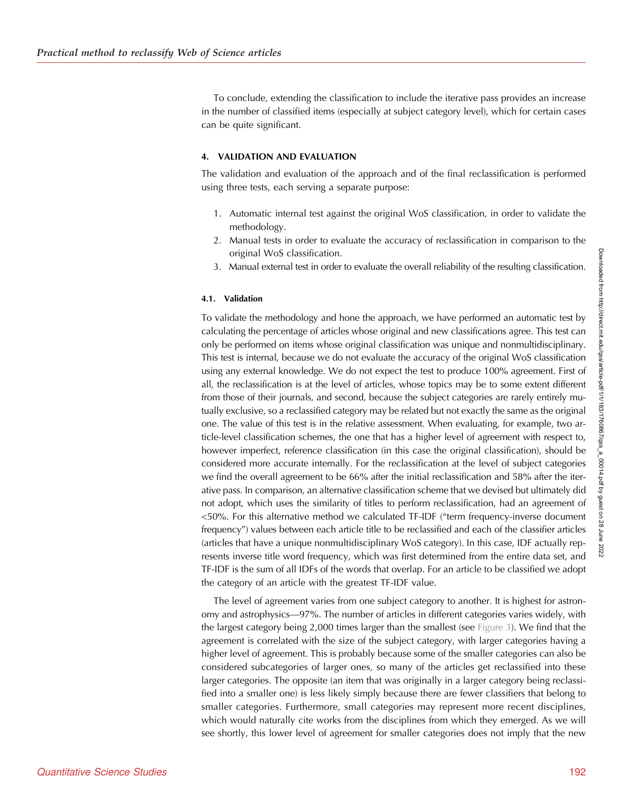To conclude, extending the classification to include the iterative pass provides an increase in the number of classified items (especially at subject category level), which for certain cases can be quite significant.

#### 4. VALIDATION AND EVALUATION

The validation and evaluation of the approach and of the final reclassification is performed using three tests, each serving a separate purpose:

- 1. Automatic internal test against the original WoS classification, in order to validate the methodology.
- 2. Manual tests in order to evaluate the accuracy of reclassification in comparison to the original WoS classification.
- 3. Manual external test in order to evaluate the overall reliability of the resulting classification.

### 4.1. Validation

To validate the methodology and hone the approach, we have performed an automatic test by calculating the percentage of articles whose original and new classifications agree. This test can only be performed on items whose original classification was unique and nonmultidisciplinary. This test is internal, because we do not evaluate the accuracy of the original WoS classification using any external knowledge. We do not expect the test to produce 100% agreement. First of all, the reclassification is at the level of articles, whose topics may be to some extent different from those of their journals, and second, because the subject categories are rarely entirely mutually exclusive, so a reclassified category may be related but not exactly the same as the original one. The value of this test is in the relative assessment. When evaluating, for example, two article-level classification schemes, the one that has a higher level of agreement with respect to, however imperfect, reference classification (in this case the original classification), should be considered more accurate internally. For the reclassification at the level of subject categories we find the overall agreement to be 66% after the initial reclassification and 58% after the iterative pass. In comparison, an alternative classification scheme that we devised but ultimately did not adopt, which uses the similarity of titles to perform reclassification, had an agreement of <50%. For this alternative method we calculated TF-IDF ("term frequency-inverse document frequency") values between each article title to be reclassified and each of the classifier articles (articles that have a unique nonmultidisciplinary WoS category). In this case, IDF actually represents inverse title word frequency, which was first determined from the entire data set, and TF-IDF is the sum of all IDFs of the words that overlap. For an article to be classified we adopt the category of an article with the greatest TF-IDF value.

The level of agreement varies from one subject category to another. It is highest for astronomy and astrophysics—97%. The number of articles in different categories varies widely, with the largest category being 2,000 times larger than the smallest (see [Figure 3\)](#page-7-0). We find that the agreement is correlated with the size of the subject category, with larger categories having a higher level of agreement. This is probably because some of the smaller categories can also be considered subcategories of larger ones, so many of the articles get reclassified into these larger categories. The opposite (an item that was originally in a larger category being reclassified into a smaller one) is less likely simply because there are fewer classifiers that belong to smaller categories. Furthermore, small categories may represent more recent disciplines, which would naturally cite works from the disciplines from which they emerged. As we will see shortly, this lower level of agreement for smaller categories does not imply that the new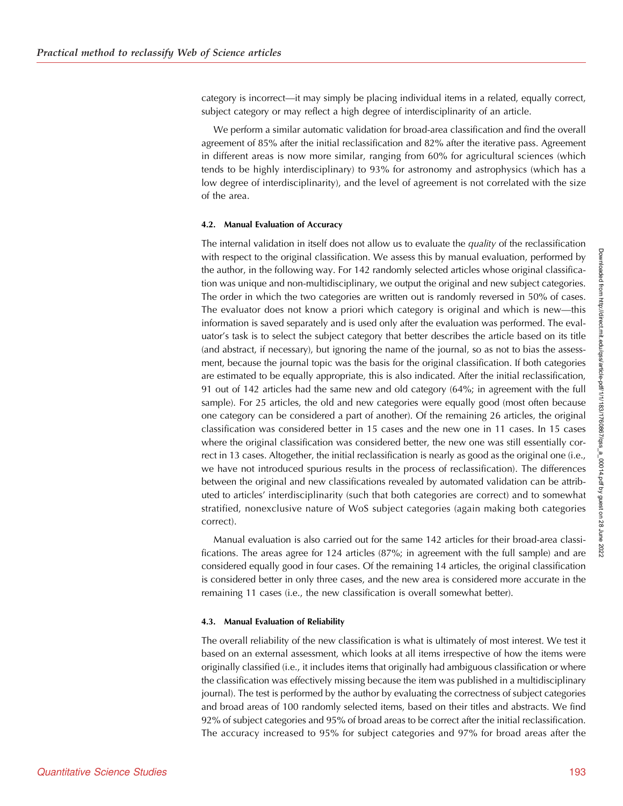category is incorrect—it may simply be placing individual items in a related, equally correct, subject category or may reflect a high degree of interdisciplinarity of an article.

We perform a similar automatic validation for broad-area classification and find the overall agreement of 85% after the initial reclassification and 82% after the iterative pass. Agreement in different areas is now more similar, ranging from 60% for agricultural sciences (which tends to be highly interdisciplinary) to 93% for astronomy and astrophysics (which has a low degree of interdisciplinarity), and the level of agreement is not correlated with the size of the area.

#### 4.2. Manual Evaluation of Accuracy

The internal validation in itself does not allow us to evaluate the *quality* of the reclassification with respect to the original classification. We assess this by manual evaluation, performed by the author, in the following way. For 142 randomly selected articles whose original classification was unique and non-multidisciplinary, we output the original and new subject categories. The order in which the two categories are written out is randomly reversed in 50% of cases. The evaluator does not know a priori which category is original and which is new—this information is saved separately and is used only after the evaluation was performed. The evaluator's task is to select the subject category that better describes the article based on its title (and abstract, if necessary), but ignoring the name of the journal, so as not to bias the assessment, because the journal topic was the basis for the original classification. If both categories are estimated to be equally appropriate, this is also indicated. After the initial reclassification, 91 out of 142 articles had the same new and old category (64%; in agreement with the full sample). For 25 articles, the old and new categories were equally good (most often because one category can be considered a part of another). Of the remaining 26 articles, the original classification was considered better in 15 cases and the new one in 11 cases. In 15 cases where the original classification was considered better, the new one was still essentially correct in 13 cases. Altogether, the initial reclassification is nearly as good as the original one (i.e., we have not introduced spurious results in the process of reclassification). The differences between the original and new classifications revealed by automated validation can be attributed to articles' interdisciplinarity (such that both categories are correct) and to somewhat stratified, nonexclusive nature of WoS subject categories (again making both categories correct).

Manual evaluation is also carried out for the same 142 articles for their broad-area classifications. The areas agree for 124 articles (87%; in agreement with the full sample) and are considered equally good in four cases. Of the remaining 14 articles, the original classification is considered better in only three cases, and the new area is considered more accurate in the remaining 11 cases (i.e., the new classification is overall somewhat better).

#### 4.3. Manual Evaluation of Reliability

The overall reliability of the new classification is what is ultimately of most interest. We test it based on an external assessment, which looks at all items irrespective of how the items were originally classified (i.e., it includes items that originally had ambiguous classification or where the classification was effectively missing because the item was published in a multidisciplinary journal). The test is performed by the author by evaluating the correctness of subject categories and broad areas of 100 randomly selected items, based on their titles and abstracts. We find 92% of subject categories and 95% of broad areas to be correct after the initial reclassification. The accuracy increased to 95% for subject categories and 97% for broad areas after the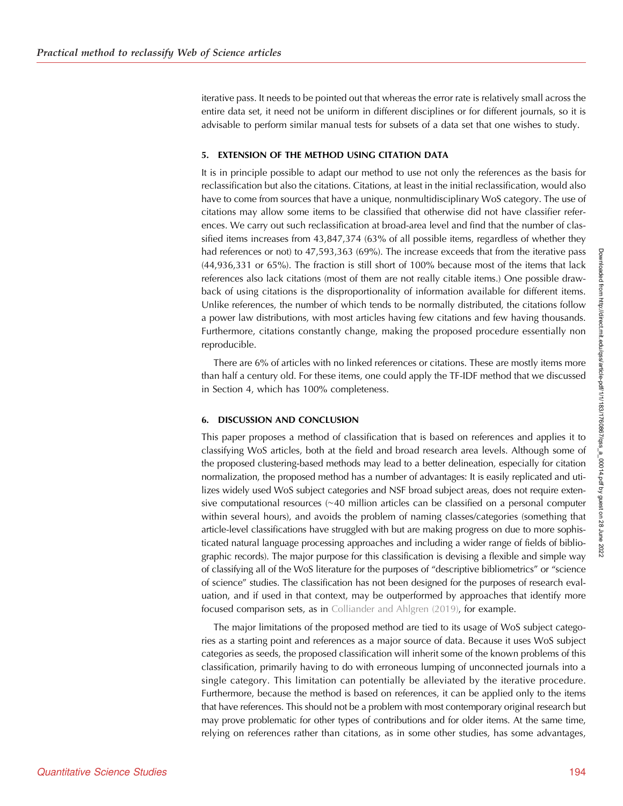iterative pass. It needs to be pointed out that whereas the error rate is relatively small across the entire data set, it need not be uniform in different disciplines or for different journals, so it is advisable to perform similar manual tests for subsets of a data set that one wishes to study.

#### 5. EXTENSION OF THE METHOD USING CITATION DATA

It is in principle possible to adapt our method to use not only the references as the basis for reclassification but also the citations. Citations, at least in the initial reclassification, would also have to come from sources that have a unique, nonmultidisciplinary WoS category. The use of citations may allow some items to be classified that otherwise did not have classifier references. We carry out such reclassification at broad-area level and find that the number of classified items increases from 43,847,374 (63% of all possible items, regardless of whether they had references or not) to 47,593,363 (69%). The increase exceeds that from the iterative pass (44,936,331 or 65%). The fraction is still short of 100% because most of the items that lack references also lack citations (most of them are not really citable items.) One possible drawback of using citations is the disproportionality of information available for different items. Unlike references, the number of which tends to be normally distributed, the citations follow a power law distributions, with most articles having few citations and few having thousands. Furthermore, citations constantly change, making the proposed procedure essentially non reproducible.

There are 6% of articles with no linked references or citations. These are mostly items more than half a century old. For these items, one could apply the TF-IDF method that we discussed in Section 4, which has 100% completeness.

## 6. DISCUSSION AND CONCLUSION

This paper proposes a method of classification that is based on references and applies it to classifying WoS articles, both at the field and broad research area levels. Although some of the proposed clustering-based methods may lead to a better delineation, especially for citation normalization, the proposed method has a number of advantages: It is easily replicated and utilizes widely used WoS subject categories and NSF broad subject areas, does not require extensive computational resources (∼40 million articles can be classified on a personal computer within several hours), and avoids the problem of naming classes/categories (something that article-level classifications have struggled with but are making progress on due to more sophisticated natural language processing approaches and including a wider range of fields of bibliographic records). The major purpose for this classification is devising a flexible and simple way of classifying all of the WoS literature for the purposes of "descriptive bibliometrics" or "science of science" studies. The classification has not been designed for the purposes of research evaluation, and if used in that context, may be outperformed by approaches that identify more focused comparison sets, as in [Colliander and Ahlgren \(2019\),](#page-12-0) for example.

The major limitations of the proposed method are tied to its usage of WoS subject categories as a starting point and references as a major source of data. Because it uses WoS subject categories as seeds, the proposed classification will inherit some of the known problems of this classification, primarily having to do with erroneous lumping of unconnected journals into a single category. This limitation can potentially be alleviated by the iterative procedure. Furthermore, because the method is based on references, it can be applied only to the items that have references. This should not be a problem with most contemporary original research but may prove problematic for other types of contributions and for older items. At the same time, relying on references rather than citations, as in some other studies, has some advantages,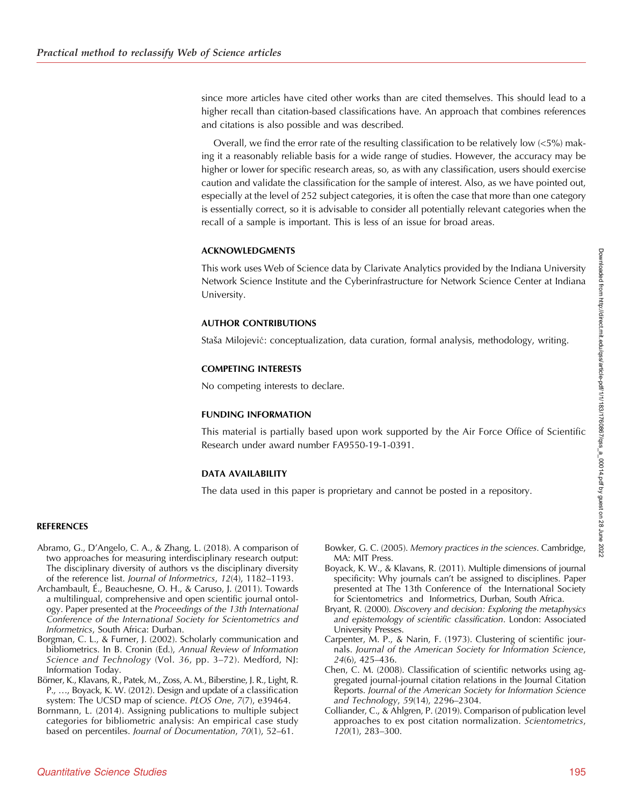<span id="page-12-0"></span>since more articles have cited other works than are cited themselves. This should lead to a higher recall than citation-based classifications have. An approach that combines references and citations is also possible and was described.

Overall, we find the error rate of the resulting classification to be relatively low (<5%) making it a reasonably reliable basis for a wide range of studies. However, the accuracy may be higher or lower for specific research areas, so, as with any classification, users should exercise caution and validate the classification for the sample of interest. Also, as we have pointed out, especially at the level of 252 subject categories, it is often the case that more than one category is essentially correct, so it is advisable to consider all potentially relevant categories when the recall of a sample is important. This is less of an issue for broad areas.

## ACKNOWLEDGMENTS

This work uses Web of Science data by Clarivate Analytics provided by the Indiana University Network Science Institute and the Cyberinfrastructure for Network Science Center at Indiana University.

## AUTHOR CONTRIBUTIONS

Staša Milojević: conceptualization, data curation, formal analysis, methodology, writing.

## COMPETING INTERESTS

No competing interests to declare.

## FUNDING INFORMATION

This material is partially based upon work supported by the Air Force Office of Scientific Research under award number FA9550-19-1-0391.

## DATA AVAILABILITY

The data used in this paper is proprietary and cannot be posted in a repository.

## **REFERENCES**

- Abramo, G., D'Angelo, C. A., & Zhang, L. (2018). A comparison of two approaches for measuring interdisciplinary research output: The disciplinary diversity of authors vs the disciplinary diversity of the reference list. Journal of Informetrics, 12(4), 1182–1193.
- Archambault, É., Beauchesne, O. H., & Caruso, J. (2011). Towards a multilingual, comprehensive and open scientific journal ontology. Paper presented at the Proceedings of the 13th International Conference of the International Society for Scientometrics and Informetrics, South Africa: Durban.
- Borgman, C. L., & Furner, J. (2002). Scholarly communication and bibliometrics. In B. Cronin (Ed.), Annual Review of Information Science and Technology (Vol. 36, pp. 3–72). Medford, NJ: Information Today.
- Börner, K., Klavans, R., Patek, M., Zoss, A. M., Biberstine, J. R., Light, R. P., …, Boyack, K. W. (2012). Design and update of a classification system: The UCSD map of science. PLOS One, 7(7), e39464.
- Bornmann, L. (2014). Assigning publications to multiple subject categories for bibliometric analysis: An empirical case study based on percentiles. Journal of Documentation, 70(1), 52–61.
- Bowker, G. C. (2005). Memory practices in the sciences. Cambridge, MA: MIT Press.
- Boyack, K. W., & Klavans, R. (2011). Multiple dimensions of journal specificity: Why journals can't be assigned to disciplines. Paper presented at The 13th Conference of the International Society for Scientometrics and Informetrics, Durban, South Africa.
- Bryant, R. (2000). Discovery and decision: Exploring the metaphysics and epistemology of scientific classification. London: Associated University Presses.
- Carpenter, M. P., & Narin, F. (1973). Clustering of scientific journals. Journal of the American Society for Information Science, 24(6), 425–436.
- Chen, C. M. (2008). Classification of scientific networks using aggregated journal-journal citation relations in the Journal Citation Reports. Journal of the American Society for Information Science and Technology, 59(14), 2296–2304.
- Colliander, C., & Ahlgren, P. (2019). Comparison of publication level approaches to ex post citation normalization. Scientometrics, 120(1), 283–300.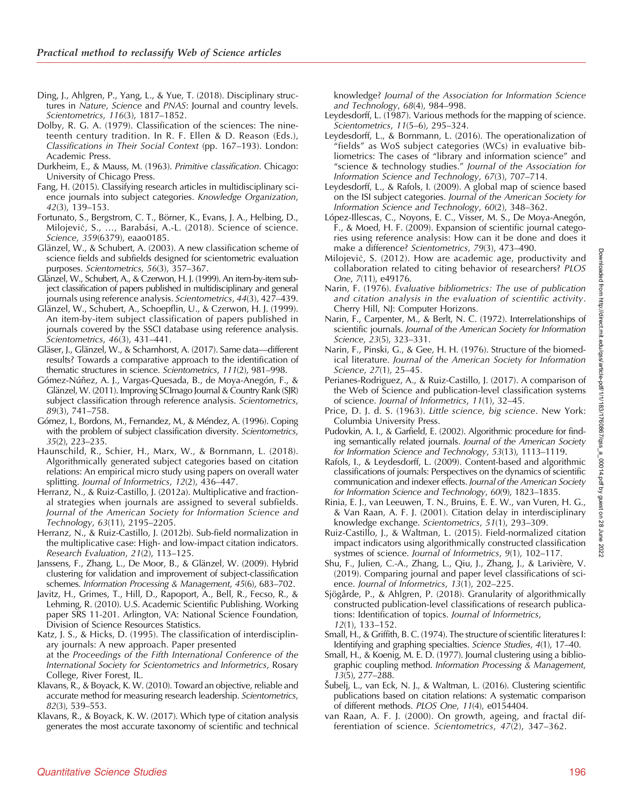- <span id="page-13-0"></span>Ding, J., Ahlgren, P., Yang, L., & Yue, T. (2018). Disciplinary structures in Nature, Science and PNAS: Journal and country levels. Scientometrics, 116(3), 1817–1852.
- Dolby, R. G. A. (1979). Classification of the sciences: The nineteenth century tradition. In R. F. Ellen & D. Reason (Eds.), Classifications in Their Social Context (pp. 167–193). London: Academic Press.
- Durkheim, E., & Mauss, M. (1963). Primitive classification. Chicago: University of Chicago Press.
- Fang, H. (2015). Classifying research articles in multidisciplinary science journals into subject categories. Knowledge Organization, 42(3), 139–153.
- Fortunato, S., Bergstrom, C. T., Börner, K., Evans, J. A., Helbing, D., Milojević, S., …, Barabási, A.-L. (2018). Science of science. Science, 359(6379), eaao0185.
- Glänzel, W., & Schubert, A. (2003). A new classification scheme of science fields and subfields designed for scientometric evaluation purposes. Scientometrics, 56(3), 357–367.
- Glänzel, W., Schubert, A., & Czerwon, H. J. (1999). An item-by-item subject classification of papers published in multidisciplinary and general journals using reference analysis. Scientometrics, 44(3), 427–439.
- Glänzel, W., Schubert, A., Schoepflin, U., & Czerwon, H. J. (1999). An item-by-item subject classification of papers published in journals covered by the SSCI database using reference analysis. Scientometrics, 46(3), 431–441.
- Gläser, J., Glänzel, W., & Scharnhorst, A. (2017). Same data—different results? Towards a comparative approach to the identification of thematic structures in science. Scientometrics, 111(2), 981–998.
- Gómez-Núñez, A. J., Vargas-Quesada, B., de Moya-Anegón, F., & Glänzel, W. (2011). Improving SCImago Journal & Country Rank (SJR) subject classification through reference analysis. Scientometrics, 89(3), 741–758.
- Gómez, I., Bordons, M., Fernandez, M., & Méndez, A. (1996). Coping with the problem of subject classification diversity. Scientometrics, 35(2), 223–235.
- Haunschild, R., Schier, H., Marx, W., & Bornmann, L. (2018). Algorithmically generated subject categories based on citation relations: An empirical micro study using papers on overall water splitting. Journal of Informetrics, 12(2), 436–447.
- Herranz, N., & Ruiz-Castillo, J. (2012a). Multiplicative and fractional strategies when journals are assigned to several subfields. Journal of the American Society for Information Science and Technology, 63(11), 2195–2205.
- Herranz, N., & Ruiz-Castillo, J. (2012b). Sub-field normalization in the multiplicative case: High- and low-impact citation indicators. Research Evaluation, 21(2), 113–125.
- Janssens, F., Zhang, L., De Moor, B., & Glänzel, W. (2009). Hybrid clustering for validation and improvement of subject-classification schemes. Information Processing & Management, 45(6), 683–702.
- Javitz, H., Grimes, T., Hill, D., Rapoport, A., Bell, R., Fecso, R., & Lehming, R. (2010). U.S. Academic Scientific Publishing. Working paper SRS 11-201. Arlington, VA: National Science Foundation, Division of Science Resources Statistics.
- Katz, J. S., & Hicks, D. (1995). The classification of interdisciplinary journals: A new approach. Paper presented at the Proceedings of the Fifth International Conference of the International Society for Scientometrics and Informetrics, Rosary College, River Forest, IL.
- Klavans, R., & Boyack, K. W. (2010). Toward an objective, reliable and accurate method for measuring research leadership. Scientometrics, 82(3), 539–553.
- Klavans, R., & Boyack, K. W. (2017). Which type of citation analysis generates the most accurate taxonomy of scientific and technical

knowledge? Journal of the Association for Information Science and Technology, 68(4), 984–998.

- Leydesdorff, L. (1987). Various methods for the mapping of science. Scientometrics, 11(5–6), 295–324.
- Leydesdorff, L., & Bornmann, L. (2016). The operationalization of "fields" as WoS subject categories (WCs) in evaluative bibliometrics: The cases of "library and information science" and "science & technology studies." Journal of the Association for Information Science and Technology, 67(3), 707–714.
- Leydesdorff, L., & Rafols, I. (2009). A global map of science based on the ISI subject categories. Journal of the American Society for Information Science and Technology, 60(2), 348–362.
- López-Illescas, C., Noyons, E. C., Visser, M. S., De Moya-Anegón, F., & Moed, H. F. (2009). Expansion of scientific journal categories using reference analysis: How can it be done and does it make a difference? Scientometrics, 79(3), 473–490.
- Milojević, S. (2012). How are academic age, productivity and collaboration related to citing behavior of researchers? PLOS One, 7(11), e49176.
- Narin, F. (1976). Evaluative bibliometrics: The use of publication and citation analysis in the evaluation of scientific activity. Cherry Hill, NJ: Computer Horizons.
- Narin, F., Carpenter, M., & Berlt, N. C. (1972). Interrelationships of scientific journals. Journal of the American Society for Information Science, 23(5), 323–331.
- Narin, F., Pinski, G., & Gee, H. H. (1976). Structure of the biomedical literature. Journal of the American Society for Information Science, 27(1), 25–45.
- Perianes-Rodriguez, A., & Ruiz-Castillo, J. (2017). A comparison of the Web of Science and publication-level classification systems of science. Journal of Informetrics, 11(1), 32–45.
- Price, D. J. d. S. (1963). Little science, big science. New York: Columbia University Press.
- Pudovkin, A. I., & Garfield, E. (2002). Algorithmic procedure for finding semantically related journals. Journal of the American Society for Information Science and Technology, 53(13), 1113–1119.
- Rafols, I., & Leydesdorff, L. (2009). Content-based and algorithmic classifications of journals: Perspectives on the dynamics of scientific communication and indexer effects. Journal of the American Society for Information Science and Technology, 60(9), 1823–1835.
- Rinia, E. J., van Leeuwen, T. N., Bruins, E. E. W., van Vuren, H. G., & Van Raan, A. F. J. (2001). Citation delay in interdisciplinary knowledge exchange. Scientometrics, 51(1), 293–309.
- Ruiz-Castillo, J., & Waltman, L. (2015). Field-normalized citation impact indicators using algorithmically constructed classification systmes of science. Journal of Informetrics, 9(1), 102–117.
- Shu, F., Julien, C.-A., Zhang, L., Qiu, J., Zhang, J., & Larivière, V. (2019). Comparing journal and paper level classifications of science. Journal of Informetrics, 13(1), 202–225.
- Sjögårde, P., & Ahlgren, P. (2018). Granularity of algorithmically constructed publication-level classifications of research publications: Identification of topics. Journal of Informetrics, 12(1), 133–152.
- Small, H., & Griffith, B. C. (1974). The structure of scientific literatures I: Identifying and graphing specialties. Science Studies, 4(1), 17–40.
- Small, H., & Koenig, M. E. D. (1977). Journal clustering using a bibliographic coupling method. Information Processing & Management, 13(5), 277–288.
- Šubelj, L., van Eck, N. J., & Waltman, L. (2016). Clustering scientific publications based on citation relations: A systematic comparison of different methods. PLOS One, 11(4), e0154404.
- van Raan, A. F. J. (2000). On growth, ageing, and fractal differentiation of science. Scientometrics, 47(2), 347–362.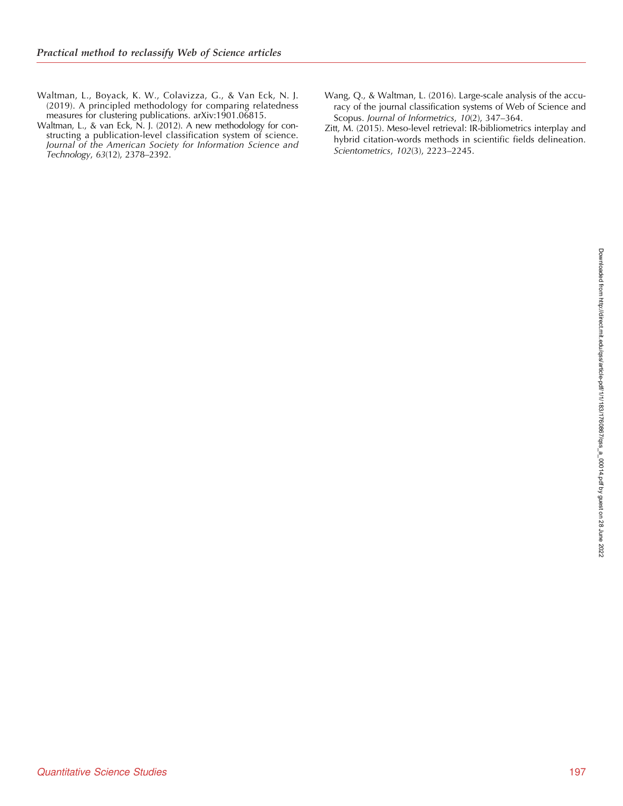- <span id="page-14-0"></span>Waltman, L., Boyack, K. W., Colavizza, G., & Van Eck, N. J. (2019). A principled methodology for comparing relatedness measures for clustering publications. arXiv:1901.06815.
- Waltman, L., & van Eck, N. J. (2012). A new methodology for constructing a publication-level classification system of science. Journal of the American Society for Information Science and Technology, 63(12), 2378–2392.
- Wang, Q., & Waltman, L. (2016). Large-scale analysis of the accuracy of the journal classification systems of Web of Science and Scopus. Journal of Informetrics, 10(2), 347–364.
- Zitt, M. (2015). Meso-level retrieval: IR-bibliometrics interplay and hybrid citation-words methods in scientific fields delineation. Scientometrics, 102(3), 2223–2245.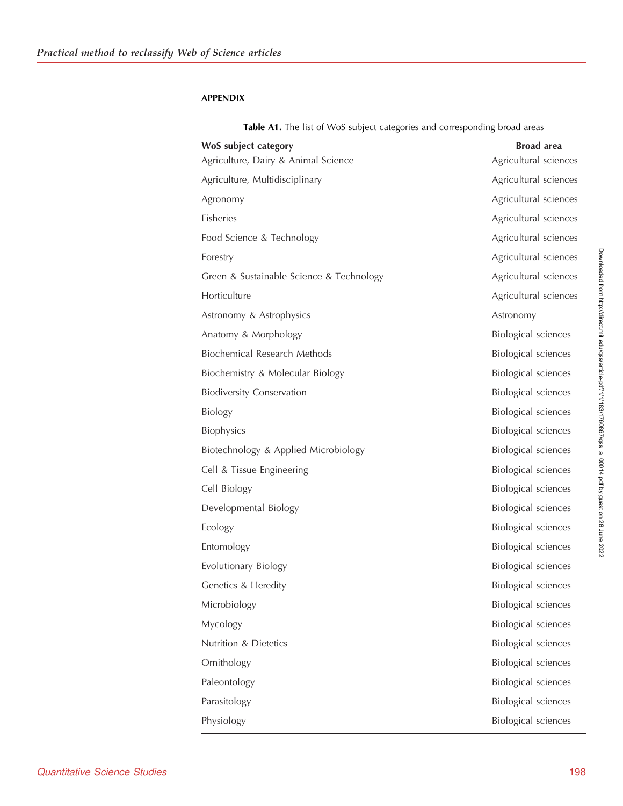## <span id="page-15-0"></span>APPENDIX

|  |  |  |  |  | Table A1. The list of WoS subject categories and corresponding broad areas |  |  |  |  |  |
|--|--|--|--|--|----------------------------------------------------------------------------|--|--|--|--|--|
|--|--|--|--|--|----------------------------------------------------------------------------|--|--|--|--|--|

| WoS subject category                     | <b>Broad</b> area          |
|------------------------------------------|----------------------------|
| Agriculture, Dairy & Animal Science      | Agricultural sciences      |
| Agriculture, Multidisciplinary           | Agricultural sciences      |
| Agronomy                                 | Agricultural sciences      |
| <b>Fisheries</b>                         | Agricultural sciences      |
| Food Science & Technology                | Agricultural sciences      |
| Forestry                                 | Agricultural sciences      |
| Green & Sustainable Science & Technology | Agricultural sciences      |
| Horticulture                             | Agricultural sciences      |
| Astronomy & Astrophysics                 | Astronomy                  |
| Anatomy & Morphology                     | <b>Biological sciences</b> |
| Biochemical Research Methods             | <b>Biological sciences</b> |
| Biochemistry & Molecular Biology         | <b>Biological sciences</b> |
| <b>Biodiversity Conservation</b>         | <b>Biological sciences</b> |
| <b>Biology</b>                           | <b>Biological sciences</b> |
| Biophysics                               | <b>Biological sciences</b> |
| Biotechnology & Applied Microbiology     | <b>Biological sciences</b> |
| Cell & Tissue Engineering                | <b>Biological sciences</b> |
| Cell Biology                             | <b>Biological sciences</b> |
| Developmental Biology                    | <b>Biological sciences</b> |
| Ecology                                  | <b>Biological sciences</b> |
| Entomology                               | <b>Biological sciences</b> |
| Evolutionary Biology                     | Biological sciences        |
| Genetics & Heredity                      | <b>Biological sciences</b> |
| Microbiology                             | <b>Biological sciences</b> |
| Mycology                                 | <b>Biological sciences</b> |
| Nutrition & Dietetics                    | <b>Biological sciences</b> |
| Ornithology                              | <b>Biological sciences</b> |
| Paleontology                             | <b>Biological sciences</b> |
| Parasitology                             | <b>Biological sciences</b> |
| Physiology                               | <b>Biological sciences</b> |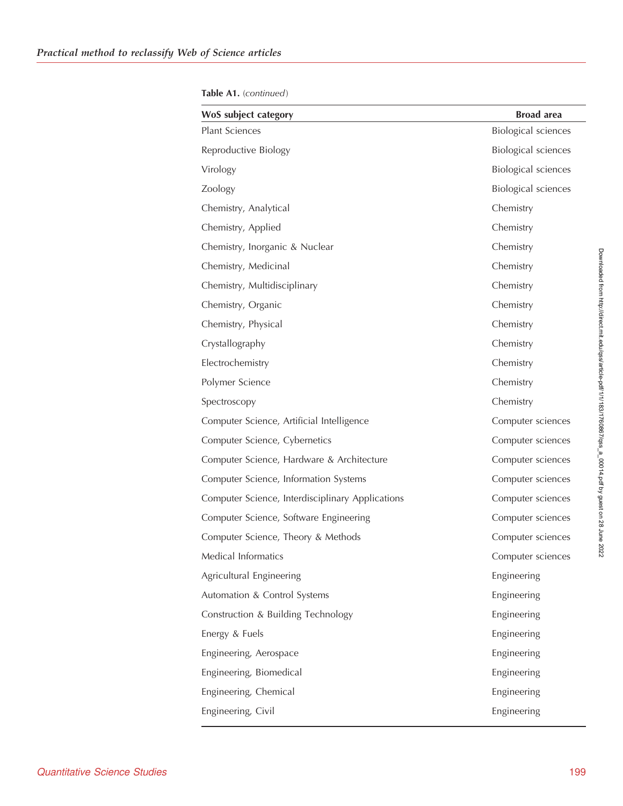| WoS subject category                             | <b>Broad</b> area          |
|--------------------------------------------------|----------------------------|
| <b>Plant Sciences</b>                            | <b>Biological sciences</b> |
| Reproductive Biology                             | <b>Biological sciences</b> |
| Virology                                         | <b>Biological sciences</b> |
| Zoology                                          | <b>Biological sciences</b> |
| Chemistry, Analytical                            | Chemistry                  |
| Chemistry, Applied                               | Chemistry                  |
| Chemistry, Inorganic & Nuclear                   | Chemistry                  |
| Chemistry, Medicinal                             | Chemistry                  |
| Chemistry, Multidisciplinary                     | Chemistry                  |
| Chemistry, Organic                               | Chemistry                  |
| Chemistry, Physical                              | Chemistry                  |
| Crystallography                                  | Chemistry                  |
| Electrochemistry                                 | Chemistry                  |
| Polymer Science                                  | Chemistry                  |
| Spectroscopy                                     | Chemistry                  |
| Computer Science, Artificial Intelligence        | Computer sciences          |
| Computer Science, Cybernetics                    | Computer sciences          |
| Computer Science, Hardware & Architecture        | Computer sciences          |
| Computer Science, Information Systems            | Computer sciences          |
| Computer Science, Interdisciplinary Applications | Computer sciences          |
| Computer Science, Software Engineering           | Computer sciences          |
| Computer Science, Theory & Methods               | Computer sciences          |
| Medical Informatics                              | Computer sciences          |
| Agricultural Engineering                         | Engineering                |
| Automation & Control Systems                     | Engineering                |
| Construction & Building Technology               | Engineering                |
| Energy & Fuels                                   | Engineering                |
| Engineering, Aerospace                           | Engineering                |
| Engineering, Biomedical                          | Engineering                |
| Engineering, Chemical                            | Engineering                |
| Engineering, Civil                               | Engineering                |

Table A1. (continued)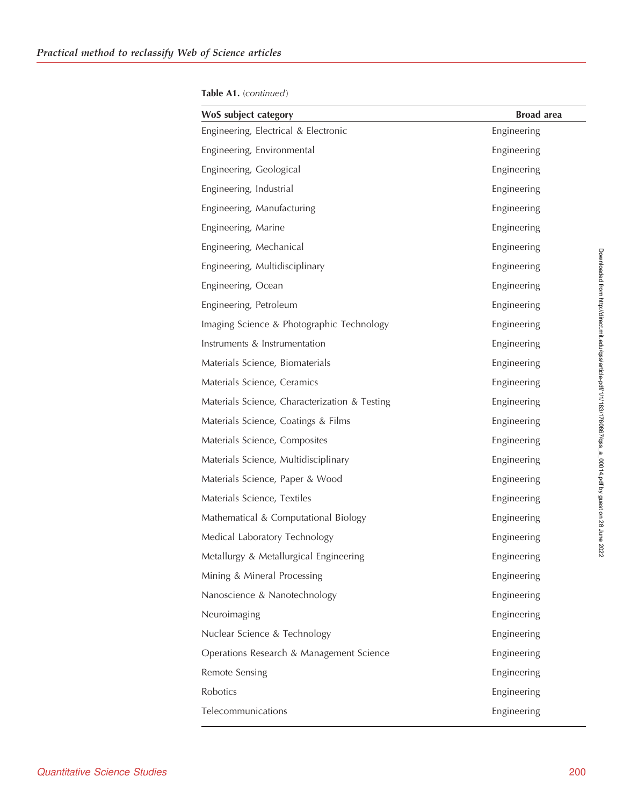| WoS subject category                          | <b>Broad</b> area |
|-----------------------------------------------|-------------------|
| Engineering, Electrical & Electronic          | Engineering       |
| Engineering, Environmental                    | Engineering       |
| Engineering, Geological                       | Engineering       |
| Engineering, Industrial                       | Engineering       |
| Engineering, Manufacturing                    | Engineering       |
| Engineering, Marine                           | Engineering       |
| Engineering, Mechanical                       | Engineering       |
| Engineering, Multidisciplinary                | Engineering       |
| Engineering, Ocean                            | Engineering       |
| Engineering, Petroleum                        | Engineering       |
| Imaging Science & Photographic Technology     | Engineering       |
| Instruments & Instrumentation                 | Engineering       |
| Materials Science, Biomaterials               | Engineering       |
| Materials Science, Ceramics                   | Engineering       |
| Materials Science, Characterization & Testing | Engineering       |
| Materials Science, Coatings & Films           | Engineering       |
| Materials Science, Composites                 | Engineering       |
| Materials Science, Multidisciplinary          | Engineering       |
| Materials Science, Paper & Wood               | Engineering       |
| Materials Science, Textiles                   | Engineering       |
| Mathematical & Computational Biology          | Engineering       |
| Medical Laboratory Technology                 | Engineering       |
| Metallurgy & Metallurgical Engineering        | Engineering       |
| Mining & Mineral Processing                   | Engineering       |
| Nanoscience & Nanotechnology                  | Engineering       |
| Neuroimaging                                  | Engineering       |
| Nuclear Science & Technology                  | Engineering       |
| Operations Research & Management Science      | Engineering       |
| Remote Sensing                                | Engineering       |
| Robotics                                      | Engineering       |
| Telecommunications                            | Engineering       |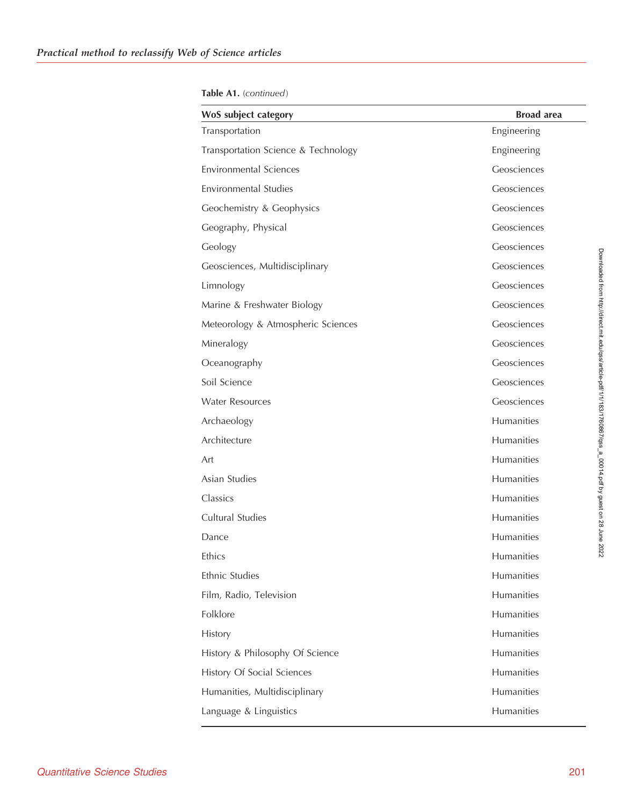Table A1. (continued)

| Transportation<br>Transportation Science & Technology | Engineering<br>Engineering<br>Geosciences |
|-------------------------------------------------------|-------------------------------------------|
|                                                       |                                           |
|                                                       |                                           |
| <b>Environmental Sciences</b>                         |                                           |
| <b>Environmental Studies</b>                          | Geosciences                               |
| Geochemistry & Geophysics                             | Geosciences                               |
| Geography, Physical                                   | Geosciences                               |
| Geology                                               | Geosciences                               |
| Geosciences, Multidisciplinary                        | Geosciences                               |
| Limnology                                             | Geosciences                               |
| Marine & Freshwater Biology                           | Geosciences                               |
| Meteorology & Atmospheric Sciences                    | Geosciences                               |
| Mineralogy                                            | Geosciences                               |
| Oceanography                                          | Geosciences                               |
| Soil Science                                          | Geosciences                               |
| <b>Water Resources</b>                                | Geosciences                               |
| Archaeology                                           | Humanities                                |
| Architecture                                          | Humanities                                |
| Art                                                   | Humanities                                |
| Asian Studies                                         | Humanities                                |
| Classics                                              | Humanities                                |
| Cultural Studies                                      | Humanities                                |
| Dance                                                 | Humanities                                |
| Ethics                                                | Humanities                                |
| Ethnic Studies                                        | Humanities                                |
| Film, Radio, Television                               | Humanities                                |
| Folklore                                              | Humanities                                |
| History                                               | Humanities                                |
| History & Philosophy Of Science                       | Humanities                                |
| History Of Social Sciences                            | Humanities                                |
| Humanities, Multidisciplinary                         | Humanities                                |
| Language & Linguistics                                | Humanities                                |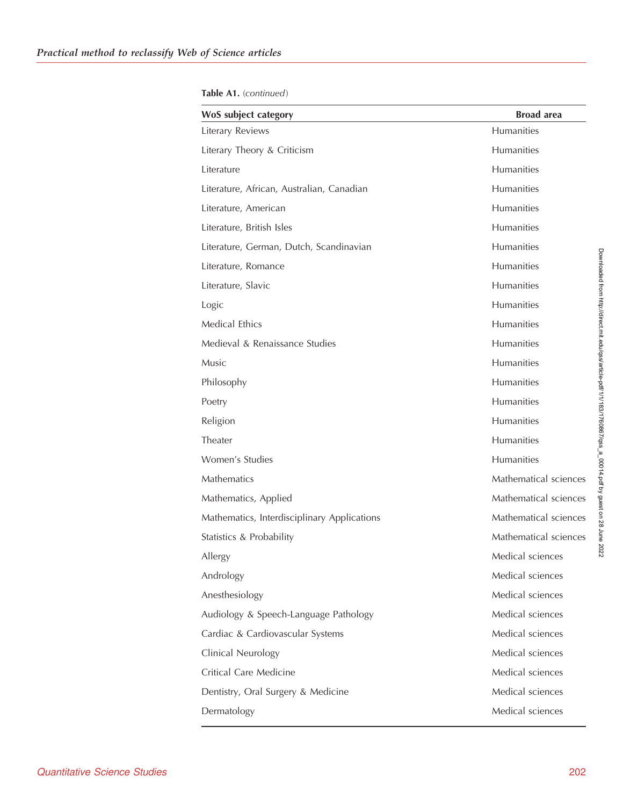| Table A1. (continued) |
|-----------------------|
|-----------------------|

| WoS subject category                        | <b>Broad</b> area     |
|---------------------------------------------|-----------------------|
| Literary Reviews                            | <b>Humanities</b>     |
| Literary Theory & Criticism                 | <b>Humanities</b>     |
| Literature                                  | Humanities            |
| Literature, African, Australian, Canadian   | Humanities            |
| Literature, American                        | Humanities            |
| Literature, British Isles                   | Humanities            |
| Literature, German, Dutch, Scandinavian     | <b>Humanities</b>     |
| Literature, Romance                         | Humanities            |
| Literature, Slavic                          | Humanities            |
| Logic                                       | Humanities            |
| <b>Medical Ethics</b>                       | Humanities            |
| Medieval & Renaissance Studies              | Humanities            |
| Music                                       | Humanities            |
| Philosophy                                  | Humanities            |
| Poetry                                      | Humanities            |
| Religion                                    | Humanities            |
| Theater                                     | Humanities            |
| Women's Studies                             | Humanities            |
| <b>Mathematics</b>                          | Mathematical sciences |
| Mathematics, Applied                        | Mathematical sciences |
| Mathematics, Interdisciplinary Applications | Mathematical sciences |
| Statistics & Probability                    | Mathematical sciences |
| Allergy                                     | Medical sciences      |
| Andrology                                   | Medical sciences      |
| Anesthesiology                              | Medical sciences      |
| Audiology & Speech-Language Pathology       | Medical sciences      |
| Cardiac & Cardiovascular Systems            | Medical sciences      |
| Clinical Neurology                          | Medical sciences      |
| Critical Care Medicine                      | Medical sciences      |
| Dentistry, Oral Surgery & Medicine          | Medical sciences      |
| Dermatology                                 | Medical sciences      |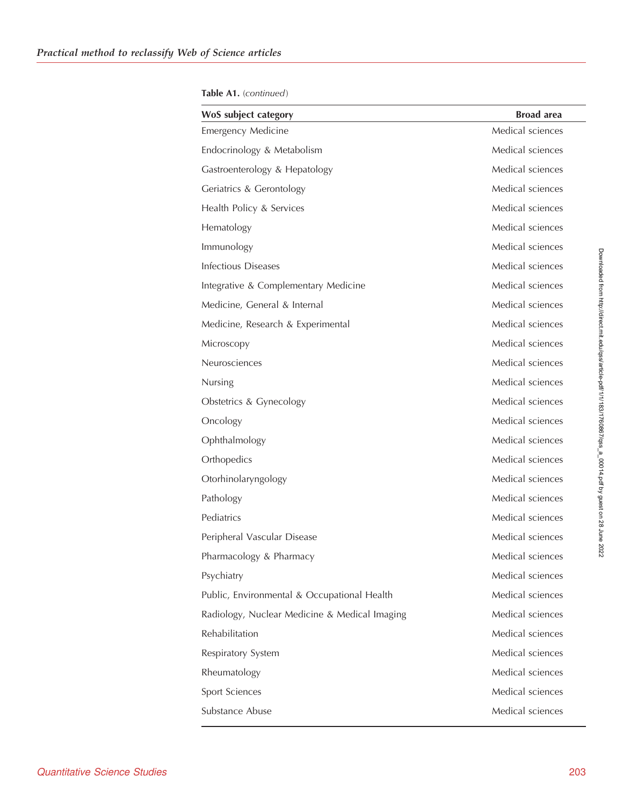Table A1. (continued)

| WoS subject category                          | <b>Broad</b> area |
|-----------------------------------------------|-------------------|
| <b>Emergency Medicine</b>                     | Medical sciences  |
| Endocrinology & Metabolism                    | Medical sciences  |
| Gastroenterology & Hepatology                 | Medical sciences  |
| Geriatrics & Gerontology                      | Medical sciences  |
| Health Policy & Services                      | Medical sciences  |
| Hematology                                    | Medical sciences  |
| Immunology                                    | Medical sciences  |
| <b>Infectious Diseases</b>                    | Medical sciences  |
| Integrative & Complementary Medicine          | Medical sciences  |
| Medicine, General & Internal                  | Medical sciences  |
| Medicine, Research & Experimental             | Medical sciences  |
| Microscopy                                    | Medical sciences  |
| Neurosciences                                 | Medical sciences  |
| Nursing                                       | Medical sciences  |
| Obstetrics & Gynecology                       | Medical sciences  |
| Oncology                                      | Medical sciences  |
| Ophthalmology                                 | Medical sciences  |
| Orthopedics                                   | Medical sciences  |
| Otorhinolaryngology                           | Medical sciences  |
| Pathology                                     | Medical sciences  |
| Pediatrics                                    | Medical sciences  |
| Peripheral Vascular Disease                   | Medical sciences  |
| Pharmacology & Pharmacy                       | Medical sciences  |
| Psychiatry                                    | Medical sciences  |
| Public, Environmental & Occupational Health   | Medical sciences  |
| Radiology, Nuclear Medicine & Medical Imaging | Medical sciences  |
| Rehabilitation                                | Medical sciences  |
| Respiratory System                            | Medical sciences  |
| Rheumatology                                  | Medical sciences  |
| Sport Sciences                                | Medical sciences  |
| Substance Abuse                               | Medical sciences  |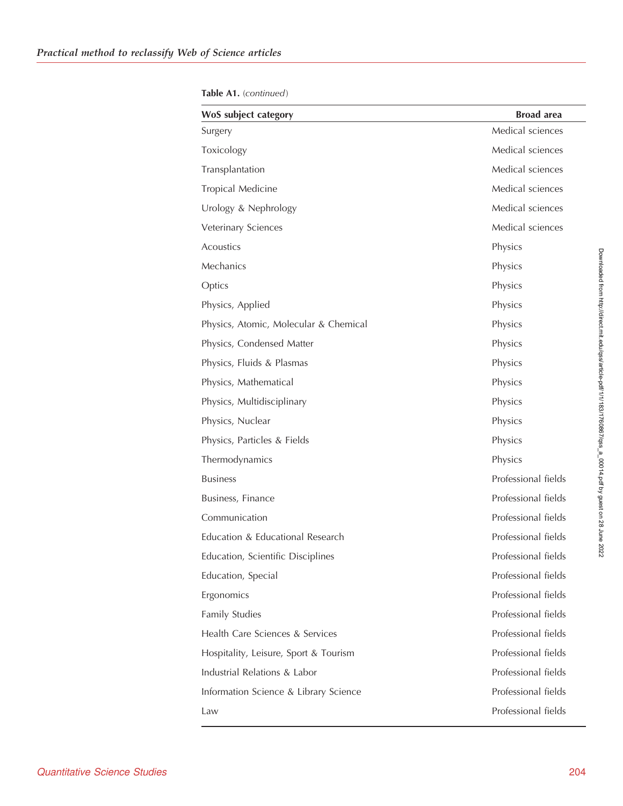| WoS subject category                  | <b>Broad</b> area   |
|---------------------------------------|---------------------|
| Surgery                               | Medical sciences    |
| Toxicology                            | Medical sciences    |
| Transplantation                       | Medical sciences    |
| Tropical Medicine                     | Medical sciences    |
| Urology & Nephrology                  | Medical sciences    |
| Veterinary Sciences                   | Medical sciences    |
| Acoustics                             | Physics             |
| Mechanics                             | Physics             |
| Optics                                | Physics             |
| Physics, Applied                      | Physics             |
| Physics, Atomic, Molecular & Chemical | Physics             |
| Physics, Condensed Matter             | Physics             |
| Physics, Fluids & Plasmas             | Physics             |
| Physics, Mathematical                 | Physics             |
| Physics, Multidisciplinary            | Physics             |
| Physics, Nuclear                      | Physics             |
| Physics, Particles & Fields           | Physics             |
| Thermodynamics                        | Physics             |
| <b>Business</b>                       | Professional fields |
| Business, Finance                     | Professional fields |
| Communication                         | Professional fields |
| Education & Educational Research      | Professional fields |
| Education, Scientific Disciplines     | Professional fields |
| Education, Special                    | Professional fields |
| Ergonomics                            | Professional fields |
| Family Studies                        | Professional fields |
| Health Care Sciences & Services       | Professional fields |
| Hospitality, Leisure, Sport & Tourism | Professional fields |
| Industrial Relations & Labor          | Professional fields |
| Information Science & Library Science | Professional fields |
| Law                                   | Professional fields |

Table A1. (continued)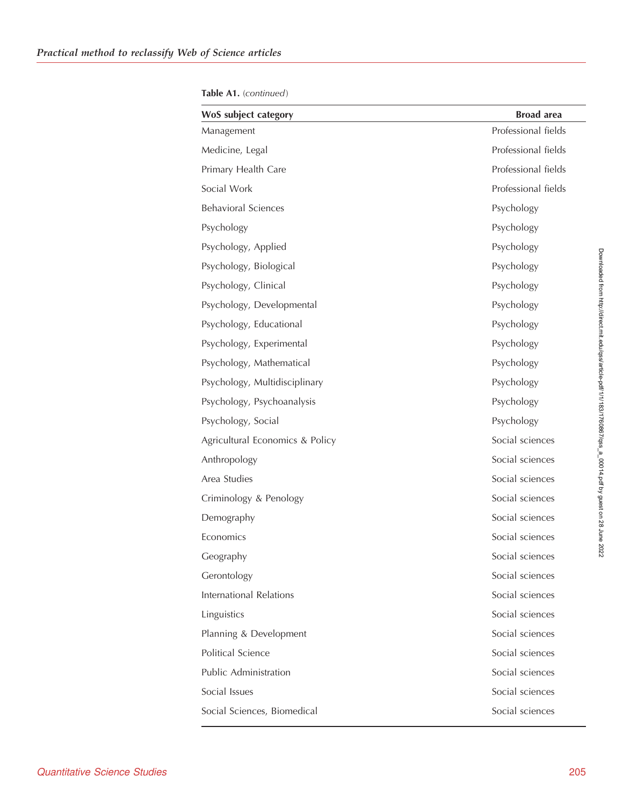| WoS subject category            | <b>Broad</b> area   |
|---------------------------------|---------------------|
| Management                      | Professional fields |
| Medicine, Legal                 | Professional fields |
| Primary Health Care             | Professional fields |
| Social Work                     | Professional fields |
| <b>Behavioral Sciences</b>      | Psychology          |
| Psychology                      | Psychology          |
| Psychology, Applied             | Psychology          |
| Psychology, Biological          | Psychology          |
| Psychology, Clinical            | Psychology          |
| Psychology, Developmental       | Psychology          |
| Psychology, Educational         | Psychology          |
| Psychology, Experimental        | Psychology          |
| Psychology, Mathematical        | Psychology          |
| Psychology, Multidisciplinary   | Psychology          |
| Psychology, Psychoanalysis      | Psychology          |
| Psychology, Social              | Psychology          |
| Agricultural Economics & Policy | Social sciences     |
| Anthropology                    | Social sciences     |
| Area Studies                    | Social sciences     |
| Criminology & Penology          | Social sciences     |
| Demography                      | Social sciences     |
| Economics                       | Social sciences     |
| Geography                       | Social sciences     |
| Gerontology                     | Social sciences     |
| International Relations         | Social sciences     |
| Linguistics                     | Social sciences     |
| Planning & Development          | Social sciences     |
| Political Science               | Social sciences     |
| Public Administration           | Social sciences     |
| Social Issues                   | Social sciences     |
| Social Sciences, Biomedical     | Social sciences     |

Table A1. (continued)